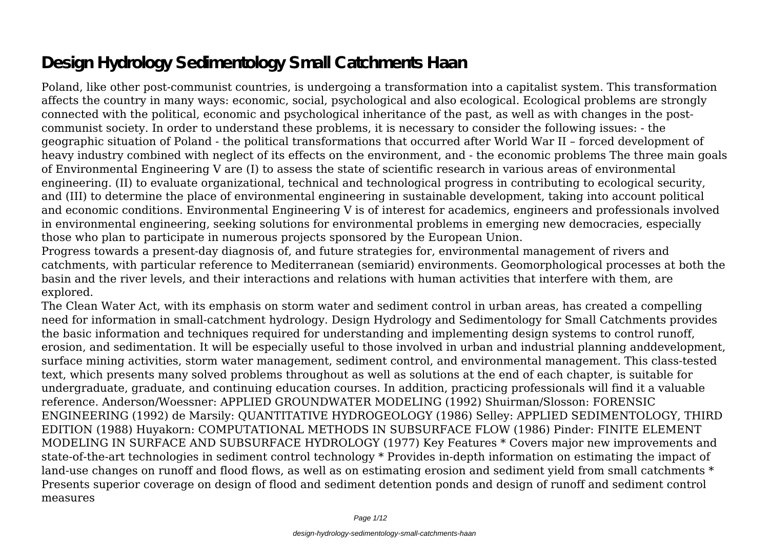# **Design Hydrology Sedimentology Small Catchments Haan**

Poland, like other post-communist countries, is undergoing a transformation into a capitalist system. This transformation affects the country in many ways: economic, social, psychological and also ecological. Ecological problems are strongly connected with the political, economic and psychological inheritance of the past, as well as with changes in the postcommunist society. In order to understand these problems, it is necessary to consider the following issues: - the geographic situation of Poland - the political transformations that occurred after World War II – forced development of heavy industry combined with neglect of its effects on the environment, and - the economic problems The three main goals of Environmental Engineering V are (I) to assess the state of scientific research in various areas of environmental engineering. (II) to evaluate organizational, technical and technological progress in contributing to ecological security, and (III) to determine the place of environmental engineering in sustainable development, taking into account political and economic conditions. Environmental Engineering V is of interest for academics, engineers and professionals involved in environmental engineering, seeking solutions for environmental problems in emerging new democracies, especially those who plan to participate in numerous projects sponsored by the European Union.

Progress towards a present-day diagnosis of, and future strategies for, environmental management of rivers and catchments, with particular reference to Mediterranean (semiarid) environments. Geomorphological processes at both the basin and the river levels, and their interactions and relations with human activities that interfere with them, are explored.

The Clean Water Act, with its emphasis on storm water and sediment control in urban areas, has created a compelling need for information in small-catchment hydrology. Design Hydrology and Sedimentology for Small Catchments provides the basic information and techniques required for understanding and implementing design systems to control runoff, erosion, and sedimentation. It will be especially useful to those involved in urban and industrial planning anddevelopment, surface mining activities, storm water management, sediment control, and environmental management. This class-tested text, which presents many solved problems throughout as well as solutions at the end of each chapter, is suitable for undergraduate, graduate, and continuing education courses. In addition, practicing professionals will find it a valuable reference. Anderson/Woessner: APPLIED GROUNDWATER MODELING (1992) Shuirman/Slosson: FORENSIC ENGINEERING (1992) de Marsily: QUANTITATIVE HYDROGEOLOGY (1986) Selley: APPLIED SEDIMENTOLOGY, THIRD EDITION (1988) Huyakorn: COMPUTATIONAL METHODS IN SUBSURFACE FLOW (1986) Pinder: FINITE ELEMENT MODELING IN SURFACE AND SUBSURFACE HYDROLOGY (1977) Key Features \* Covers major new improvements and state-of-the-art technologies in sediment control technology \* Provides in-depth information on estimating the impact of land-use changes on runoff and flood flows, as well as on estimating erosion and sediment yield from small catchments \* Presents superior coverage on design of flood and sediment detention ponds and design of runoff and sediment control measures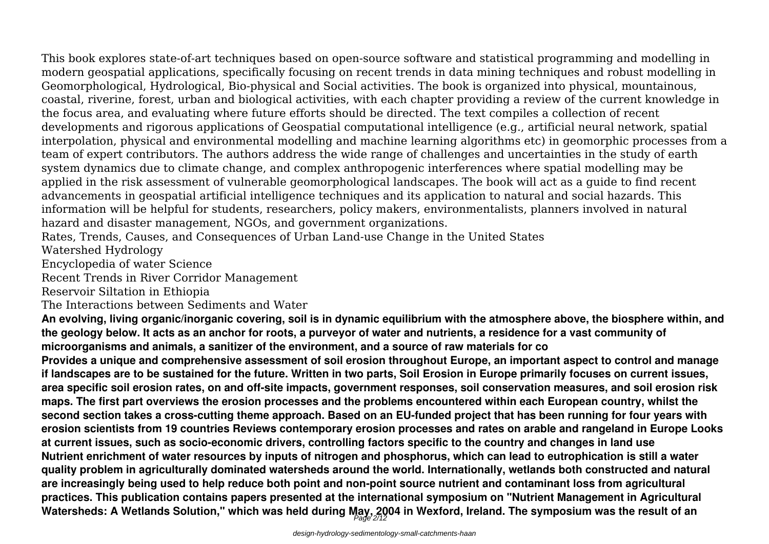This book explores state-of-art techniques based on open-source software and statistical programming and modelling in modern geospatial applications, specifically focusing on recent trends in data mining techniques and robust modelling in Geomorphological, Hydrological, Bio-physical and Social activities. The book is organized into physical, mountainous, coastal, riverine, forest, urban and biological activities, with each chapter providing a review of the current knowledge in the focus area, and evaluating where future efforts should be directed. The text compiles a collection of recent developments and rigorous applications of Geospatial computational intelligence (e.g., artificial neural network, spatial interpolation, physical and environmental modelling and machine learning algorithms etc) in geomorphic processes from a team of expert contributors. The authors address the wide range of challenges and uncertainties in the study of earth system dynamics due to climate change, and complex anthropogenic interferences where spatial modelling may be applied in the risk assessment of vulnerable geomorphological landscapes. The book will act as a guide to find recent advancements in geospatial artificial intelligence techniques and its application to natural and social hazards. This information will be helpful for students, researchers, policy makers, environmentalists, planners involved in natural hazard and disaster management, NGOs, and government organizations.

Rates, Trends, Causes, and Consequences of Urban Land-use Change in the United States

Watershed Hydrology

Encyclopedia of water Science

Recent Trends in River Corridor Management

Reservoir Siltation in Ethiopia

The Interactions between Sediments and Water

**An evolving, living organic/inorganic covering, soil is in dynamic equilibrium with the atmosphere above, the biosphere within, and the geology below. It acts as an anchor for roots, a purveyor of water and nutrients, a residence for a vast community of microorganisms and animals, a sanitizer of the environment, and a source of raw materials for co**

**Provides a unique and comprehensive assessment of soil erosion throughout Europe, an important aspect to control and manage if landscapes are to be sustained for the future. Written in two parts, Soil Erosion in Europe primarily focuses on current issues, area specific soil erosion rates, on and off-site impacts, government responses, soil conservation measures, and soil erosion risk maps. The first part overviews the erosion processes and the problems encountered within each European country, whilst the second section takes a cross-cutting theme approach. Based on an EU-funded project that has been running for four years with erosion scientists from 19 countries Reviews contemporary erosion processes and rates on arable and rangeland in Europe Looks at current issues, such as socio-economic drivers, controlling factors specific to the country and changes in land use Nutrient enrichment of water resources by inputs of nitrogen and phosphorus, which can lead to eutrophication is still a water quality problem in agriculturally dominated watersheds around the world. Internationally, wetlands both constructed and natural are increasingly being used to help reduce both point and non-point source nutrient and contaminant loss from agricultural practices. This publication contains papers presented at the international symposium on "Nutrient Management in Agricultural Watersheds: A Wetlands Solution," which was held during May, 2004 in Wexford, Ireland. The symposium was the result of an** Page 2/12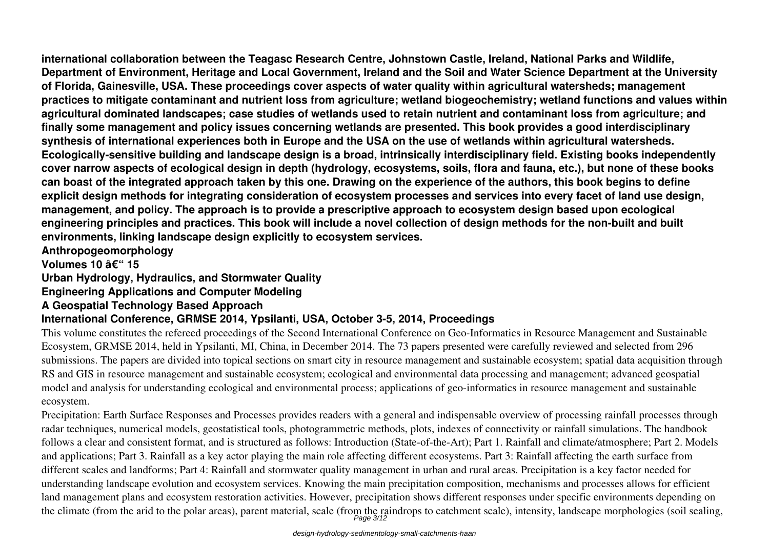**international collaboration between the Teagasc Research Centre, Johnstown Castle, Ireland, National Parks and Wildlife, Department of Environment, Heritage and Local Government, Ireland and the Soil and Water Science Department at the University of Florida, Gainesville, USA. These proceedings cover aspects of water quality within agricultural watersheds; management practices to mitigate contaminant and nutrient loss from agriculture; wetland biogeochemistry; wetland functions and values within agricultural dominated landscapes; case studies of wetlands used to retain nutrient and contaminant loss from agriculture; and finally some management and policy issues concerning wetlands are presented. This book provides a good interdisciplinary synthesis of international experiences both in Europe and the USA on the use of wetlands within agricultural watersheds. Ecologically-sensitive building and landscape design is a broad, intrinsically interdisciplinary field. Existing books independently cover narrow aspects of ecological design in depth (hydrology, ecosystems, soils, flora and fauna, etc.), but none of these books can boast of the integrated approach taken by this one. Drawing on the experience of the authors, this book begins to define explicit design methods for integrating consideration of ecosystem processes and services into every facet of land use design, management, and policy. The approach is to provide a prescriptive approach to ecosystem design based upon ecological engineering principles and practices. This book will include a novel collection of design methods for the non-built and built environments, linking landscape design explicitly to ecosystem services.**

**Anthropogeomorphology**

**Volumes 10 – 15** 

**Urban Hydrology, Hydraulics, and Stormwater Quality**

### **Engineering Applications and Computer Modeling**

#### **A Geospatial Technology Based Approach**

### **International Conference, GRMSE 2014, Ypsilanti, USA, October 3-5, 2014, Proceedings**

This volume constitutes the refereed proceedings of the Second International Conference on Geo-Informatics in Resource Management and Sustainable Ecosystem, GRMSE 2014, held in Ypsilanti, MI, China, in December 2014. The 73 papers presented were carefully reviewed and selected from 296 submissions. The papers are divided into topical sections on smart city in resource management and sustainable ecosystem; spatial data acquisition through RS and GIS in resource management and sustainable ecosystem; ecological and environmental data processing and management; advanced geospatial model and analysis for understanding ecological and environmental process; applications of geo-informatics in resource management and sustainable ecosystem.

Precipitation: Earth Surface Responses and Processes provides readers with a general and indispensable overview of processing rainfall processes through radar techniques, numerical models, geostatistical tools, photogrammetric methods, plots, indexes of connectivity or rainfall simulations. The handbook follows a clear and consistent format, and is structured as follows: Introduction (State-of-the-Art); Part 1. Rainfall and climate/atmosphere; Part 2. Models and applications; Part 3. Rainfall as a key actor playing the main role affecting different ecosystems. Part 3: Rainfall affecting the earth surface from different scales and landforms; Part 4: Rainfall and stormwater quality management in urban and rural areas. Precipitation is a key factor needed for understanding landscape evolution and ecosystem services. Knowing the main precipitation composition, mechanisms and processes allows for efficient land management plans and ecosystem restoration activities. However, precipitation shows different responses under specific environments depending on the climate (from the arid to the polar areas), parent material, scale (from the raindrops to catchment scale), intensity, landscape morphologies (soil sealing,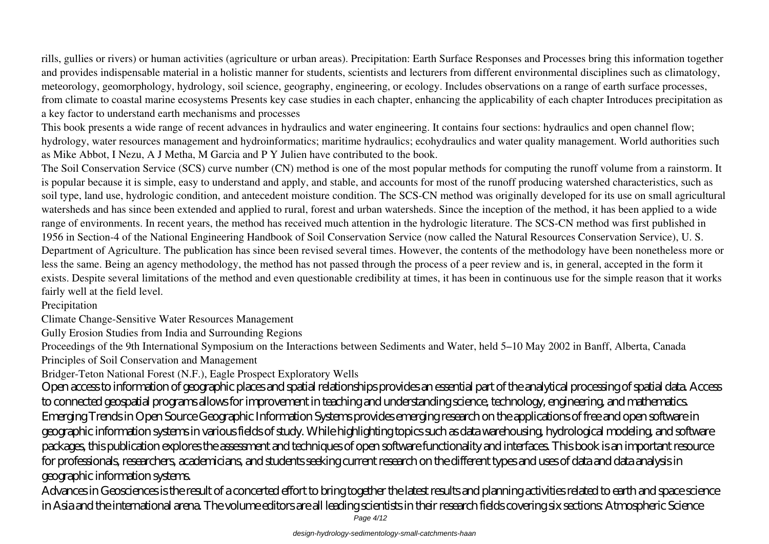rills, gullies or rivers) or human activities (agriculture or urban areas). Precipitation: Earth Surface Responses and Processes bring this information together and provides indispensable material in a holistic manner for students, scientists and lecturers from different environmental disciplines such as climatology, meteorology, geomorphology, hydrology, soil science, geography, engineering, or ecology. Includes observations on a range of earth surface processes, from climate to coastal marine ecosystems Presents key case studies in each chapter, enhancing the applicability of each chapter Introduces precipitation as a key factor to understand earth mechanisms and processes

This book presents a wide range of recent advances in hydraulics and water engineering. It contains four sections: hydraulics and open channel flow; hydrology, water resources management and hydroinformatics; maritime hydraulics; ecohydraulics and water quality management. World authorities such as Mike Abbot, I Nezu, A J Metha, M Garcia and P Y Julien have contributed to the book.

The Soil Conservation Service (SCS) curve number (CN) method is one of the most popular methods for computing the runoff volume from a rainstorm. It is popular because it is simple, easy to understand and apply, and stable, and accounts for most of the runoff producing watershed characteristics, such as soil type, land use, hydrologic condition, and antecedent moisture condition. The SCS-CN method was originally developed for its use on small agricultural watersheds and has since been extended and applied to rural, forest and urban watersheds. Since the inception of the method, it has been applied to a wide range of environments. In recent years, the method has received much attention in the hydrologic literature. The SCS-CN method was first published in 1956 in Section-4 of the National Engineering Handbook of Soil Conservation Service (now called the Natural Resources Conservation Service), U. S. Department of Agriculture. The publication has since been revised several times. However, the contents of the methodology have been nonetheless more or less the same. Being an agency methodology, the method has not passed through the process of a peer review and is, in general, accepted in the form it exists. Despite several limitations of the method and even questionable credibility at times, it has been in continuous use for the simple reason that it works fairly well at the field level.

Precipitation

Climate Change-Sensitive Water Resources Management

Gully Erosion Studies from India and Surrounding Regions

Proceedings of the 9th International Symposium on the Interactions between Sediments and Water, held 5–10 May 2002 in Banff, Alberta, Canada Principles of Soil Conservation and Management

Bridger-Teton National Forest (N.F.), Eagle Prospect Exploratory Wells

Open access to information of geographic places and spatial relationships provides an essential part of the analytical processing of spatial data. Access to connected geospatial programs allows for improvement in teaching and understanding science, technology, engineering, and mathematics. Emerging Trends in Open Source Geographic Information Systems provides emerging research on the applications of free and open software in geographic information systems in various fields of study. While highlighting topics such as data warehousing, hydrological modeling, and software packages, this publication explores the assessment and techniques of open software functionality and interfaces. This book is an important resource for professionals, researchers, academicians, and students seeking current research on the different types and uses of data and data analysis in geographic information systems.

Advances in Geosciences is the result of a concerted effort to bring together the latest results and planning activities related to earth and space science in Asia and the international arena. The volume editors are all leading scientists in their research fields covering six sections: Atmospheric Science

Page 4/12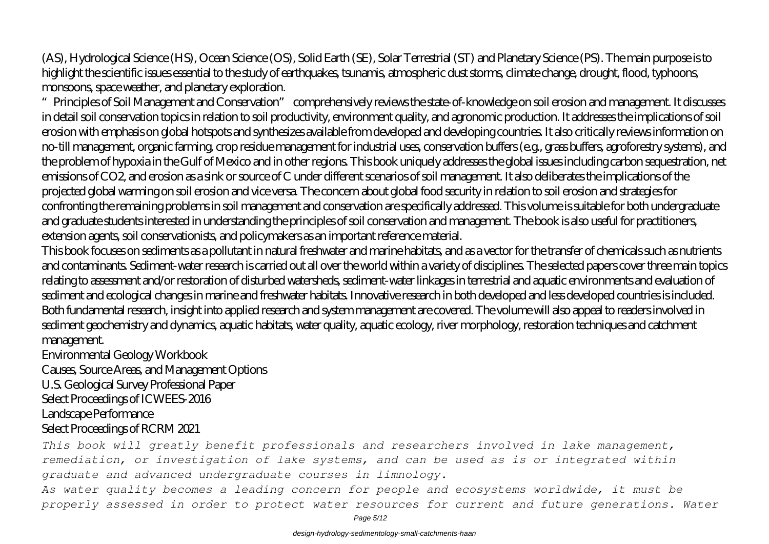(AS), Hydrological Science (HS), Ocean Science (OS), Solid Earth (SE), Solar Terrestrial (ST) and Planetary Science (PS). The main purpose is to highlight the scientific issues essential to the study of earthquakes, tsunamis, atmospheric dust storms, climate change, drought, flood, typhoons, monsoons, space weather, and planetary exploration.

"Principles of Soil Management and Conservation" comprehensively reviews the state-of-knowledge on soil erosion and management. It discusses in detail soil conservation topics in relation to soil productivity, environment quality, and agronomic production. It addresses the implications of soil erosion with emphasis on global hotspots and synthesizes available from developed and developing countries. It also critically reviews information on no-till management, organic farming, crop residue management for industrial uses, conservation buffers (e.g., grass buffers, agroforestry systems), and the problem of hypoxia in the Gulf of Mexico and in other regions. This book uniquely addresses the global issues including carbon sequestration, net emissions of CO2, and erosion as a sink or source of C under different scenarios of soil management. It also deliberates the implications of the projected global warming on soil erosion and vice versa. The concern about global food security in relation to soil erosion and strategies for confronting the remaining problems in soil management and conservation are specifically addressed. This volume is suitable for both undergraduate and graduate students interested in understanding the principles of soil conservation and management. The book is also useful for practitioners, extension agents, soil conservationists, and policymakers as an important reference material.

This book focuses on sediments as a pollutant in natural freshwater and marine habitats, and as a vector for the transfer of chemicals such as nutrients and contaminants. Sediment-water research is carried out all over the world within a variety of disciplines. The selected papers cover three main topics relating to assessment and/or restoration of disturbed watersheds, sediment-water linkages in terrestrial and aquatic environments and evaluation of sediment and ecological changes in marine and freshwater habitats. Innovative research in both developed and less developed countries is included. Both fundamental research, insight into applied research and system management are covered. The volume will also appeal to readers involved in sediment geochemistry and dynamics, aquatic habitats, water quality, aquatic ecology, river morphology, restoration techniques and catchment management.

Environmental Geology Workbook

Causes, Source Areas, and Management Options U.S. Geological Survey Professional Paper Select Proceedings of ICWEES-2016 Landscape Performance Select Proceedings of RCRM 2021

*This book will greatly benefit professionals and researchers involved in lake management, remediation, or investigation of lake systems, and can be used as is or integrated within graduate and advanced undergraduate courses in limnology.*

*As water quality becomes a leading concern for people and ecosystems worldwide, it must be properly assessed in order to protect water resources for current and future generations. Water*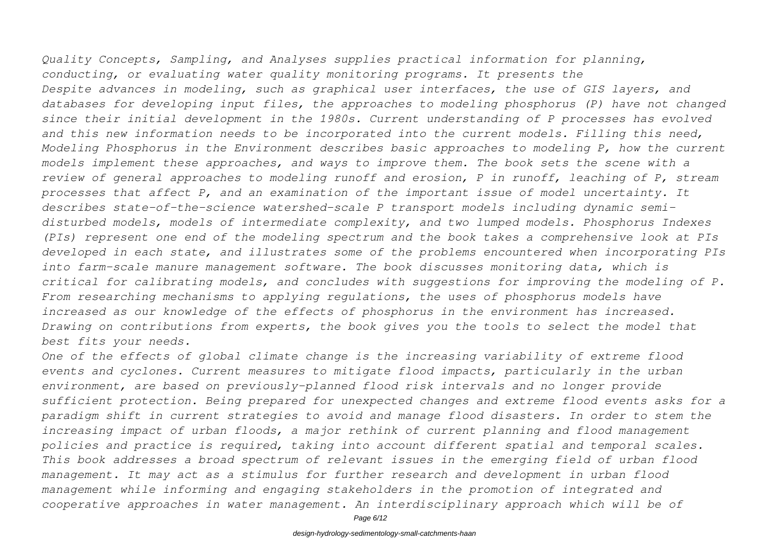*Quality Concepts, Sampling, and Analyses supplies practical information for planning, conducting, or evaluating water quality monitoring programs. It presents the Despite advances in modeling, such as graphical user interfaces, the use of GIS layers, and databases for developing input files, the approaches to modeling phosphorus (P) have not changed since their initial development in the 1980s. Current understanding of P processes has evolved and this new information needs to be incorporated into the current models. Filling this need, Modeling Phosphorus in the Environment describes basic approaches to modeling P, how the current models implement these approaches, and ways to improve them. The book sets the scene with a review of general approaches to modeling runoff and erosion, P in runoff, leaching of P, stream processes that affect P, and an examination of the important issue of model uncertainty. It describes state-of-the-science watershed-scale P transport models including dynamic semidisturbed models, models of intermediate complexity, and two lumped models. Phosphorus Indexes (PIs) represent one end of the modeling spectrum and the book takes a comprehensive look at PIs developed in each state, and illustrates some of the problems encountered when incorporating PIs into farm-scale manure management software. The book discusses monitoring data, which is critical for calibrating models, and concludes with suggestions for improving the modeling of P. From researching mechanisms to applying regulations, the uses of phosphorus models have increased as our knowledge of the effects of phosphorus in the environment has increased. Drawing on contributions from experts, the book gives you the tools to select the model that best fits your needs.*

*One of the effects of global climate change is the increasing variability of extreme flood events and cyclones. Current measures to mitigate flood impacts, particularly in the urban environment, are based on previously-planned flood risk intervals and no longer provide sufficient protection. Being prepared for unexpected changes and extreme flood events asks for a paradigm shift in current strategies to avoid and manage flood disasters. In order to stem the increasing impact of urban floods, a major rethink of current planning and flood management policies and practice is required, taking into account different spatial and temporal scales. This book addresses a broad spectrum of relevant issues in the emerging field of urban flood management. It may act as a stimulus for further research and development in urban flood management while informing and engaging stakeholders in the promotion of integrated and cooperative approaches in water management. An interdisciplinary approach which will be of*

Page 6/12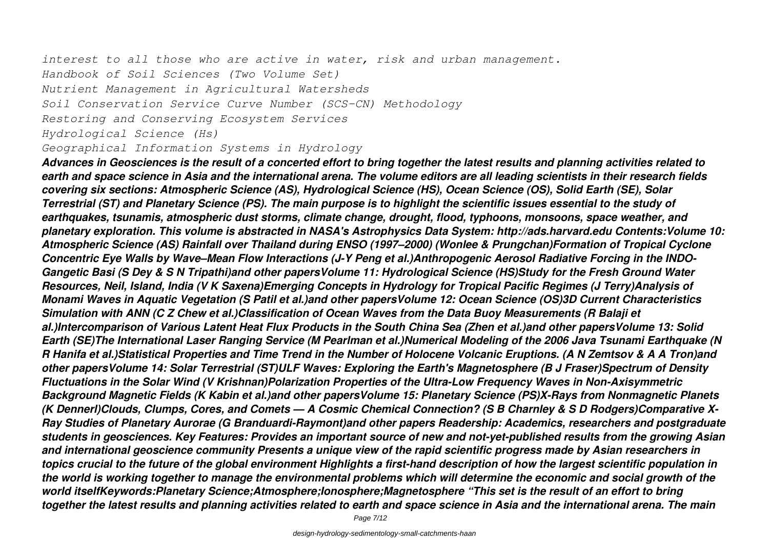*interest to all those who are active in water, risk and urban management. Handbook of Soil Sciences (Two Volume Set) Nutrient Management in Agricultural Watersheds Soil Conservation Service Curve Number (SCS-CN) Methodology Restoring and Conserving Ecosystem Services Hydrological Science (Hs)*

*Geographical Information Systems in Hydrology*

*Advances in Geosciences is the result of a concerted effort to bring together the latest results and planning activities related to earth and space science in Asia and the international arena. The volume editors are all leading scientists in their research fields covering six sections: Atmospheric Science (AS), Hydrological Science (HS), Ocean Science (OS), Solid Earth (SE), Solar Terrestrial (ST) and Planetary Science (PS). The main purpose is to highlight the scientific issues essential to the study of earthquakes, tsunamis, atmospheric dust storms, climate change, drought, flood, typhoons, monsoons, space weather, and planetary exploration. This volume is abstracted in NASA's Astrophysics Data System: http://ads.harvard.edu Contents:Volume 10: Atmospheric Science (AS) Rainfall over Thailand during ENSO (1997–2000) (Wonlee & Prungchan)Formation of Tropical Cyclone Concentric Eye Walls by Wave–Mean Flow Interactions (J-Y Peng et al.)Anthropogenic Aerosol Radiative Forcing in the INDO-Gangetic Basi (S Dey & S N Tripathi)and other papersVolume 11: Hydrological Science (HS)Study for the Fresh Ground Water Resources, Neil, Island, India (V K Saxena)Emerging Concepts in Hydrology for Tropical Pacific Regimes (J Terry)Analysis of Monami Waves in Aquatic Vegetation (S Patil et al.)and other papersVolume 12: Ocean Science (OS)3D Current Characteristics Simulation with ANN (C Z Chew et al.)Classification of Ocean Waves from the Data Buoy Measurements (R Balaji et al.)Intercomparison of Various Latent Heat Flux Products in the South China Sea (Zhen et al.)and other papersVolume 13: Solid Earth (SE)The International Laser Ranging Service (M Pearlman et al.)Numerical Modeling of the 2006 Java Tsunami Earthquake (N R Hanifa et al.)Statistical Properties and Time Trend in the Number of Holocene Volcanic Eruptions. (A N Zemtsov & A A Tron)and other papersVolume 14: Solar Terrestrial (ST)ULF Waves: Exploring the Earth's Magnetosphere (B J Fraser)Spectrum of Density Fluctuations in the Solar Wind (V Krishnan)Polarization Properties of the Ultra-Low Frequency Waves in Non-Axisymmetric Background Magnetic Fields (K Kabin et al.)and other papersVolume 15: Planetary Science (PS)X-Rays from Nonmagnetic Planets (K Dennerl)Clouds, Clumps, Cores, and Comets — A Cosmic Chemical Connection? (S B Charnley & S D Rodgers)Comparative X-Ray Studies of Planetary Aurorae (G Branduardi-Raymont)and other papers Readership: Academics, researchers and postgraduate students in geosciences. Key Features: Provides an important source of new and not-yet-published results from the growing Asian and international geoscience community Presents a unique view of the rapid scientific progress made by Asian researchers in topics crucial to the future of the global environment Highlights a first-hand description of how the largest scientific population in the world is working together to manage the environmental problems which will determine the economic and social growth of the world itselfKeywords:Planetary Science;Atmosphere;Ionosphere;Magnetosphere "This set is the result of an effort to bring together the latest results and planning activities related to earth and space science in Asia and the international arena. The main*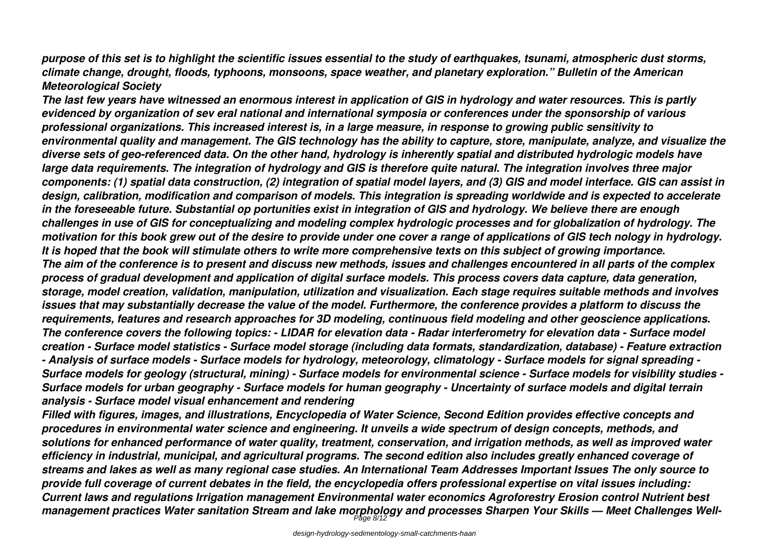*purpose of this set is to highlight the scientific issues essential to the study of earthquakes, tsunami, atmospheric dust storms, climate change, drought, floods, typhoons, monsoons, space weather, and planetary exploration." Bulletin of the American Meteorological Society*

*The last few years have witnessed an enormous interest in application of GIS in hydrology and water resources. This is partly evidenced by organization of sev eral national and international symposia or conferences under the sponsorship of various professional organizations. This increased interest is, in a large measure, in response to growing public sensitivity to environmental quality and management. The GIS technology has the ability to capture, store, manipulate, analyze, and visualize the diverse sets of geo-referenced data. On the other hand, hydrology is inherently spatial and distributed hydrologic models have large data requirements. The integration of hydrology and GIS is therefore quite natural. The integration involves three major components: (1) spatial data construction, (2) integration of spatial model layers, and (3) GIS and model interface. GIS can assist in design, calibration, modification and comparison of models. This integration is spreading worldwide and is expected to accelerate in the foreseeable future. Substantial op portunities exist in integration of GIS and hydrology. We believe there are enough challenges in use of GIS for conceptualizing and modeling complex hydrologic processes and for globalization of hydrology. The motivation for this book grew out of the desire to provide under one cover a range of applications of GIS tech nology in hydrology. It is hoped that the book will stimulate others to write more comprehensive texts on this subject of growing importance. The aim of the conference is to present and discuss new methods, issues and challenges encountered in all parts of the complex process of gradual development and application of digital surface models. This process covers data capture, data generation, storage, model creation, validation, manipulation, utilization and visualization. Each stage requires suitable methods and involves issues that may substantially decrease the value of the model. Furthermore, the conference provides a platform to discuss the requirements, features and research approaches for 3D modeling, continuous field modeling and other geoscience applications. The conference covers the following topics: - LIDAR for elevation data - Radar interferometry for elevation data - Surface model creation - Surface model statistics - Surface model storage (including data formats, standardization, database) - Feature extraction - Analysis of surface models - Surface models for hydrology, meteorology, climatology - Surface models for signal spreading - Surface models for geology (structural, mining) - Surface models for environmental science - Surface models for visibility studies - Surface models for urban geography - Surface models for human geography - Uncertainty of surface models and digital terrain analysis - Surface model visual enhancement and rendering*

*Filled with figures, images, and illustrations, Encyclopedia of Water Science, Second Edition provides effective concepts and procedures in environmental water science and engineering. It unveils a wide spectrum of design concepts, methods, and solutions for enhanced performance of water quality, treatment, conservation, and irrigation methods, as well as improved water efficiency in industrial, municipal, and agricultural programs. The second edition also includes greatly enhanced coverage of streams and lakes as well as many regional case studies. An International Team Addresses Important Issues The only source to provide full coverage of current debates in the field, the encyclopedia offers professional expertise on vital issues including: Current laws and regulations Irrigation management Environmental water economics Agroforestry Erosion control Nutrient best management practices Water sanitation Stream and lake morphology and processes Sharpen Your Skills — Meet Challenges Well-*Page 8/12

design-hydrology-sedimentology-small-catchments-haan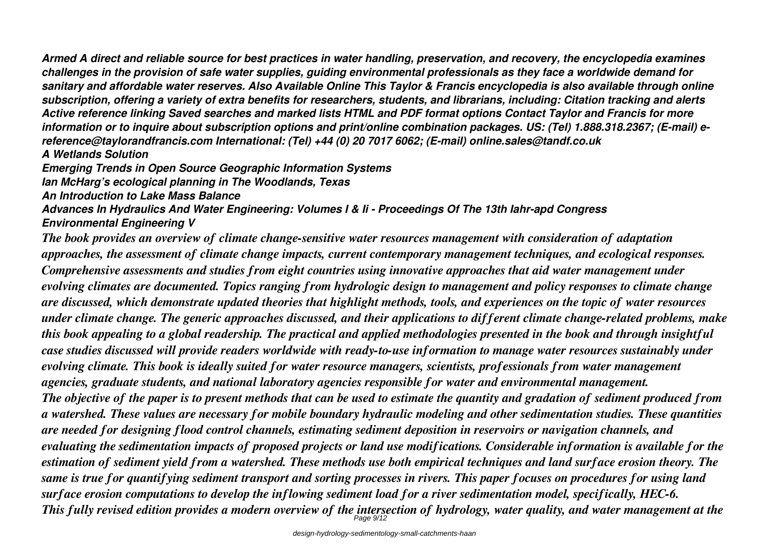*Armed A direct and reliable source for best practices in water handling, preservation, and recovery, the encyclopedia examines challenges in the provision of safe water supplies, guiding environmental professionals as they face a worldwide demand for sanitary and affordable water reserves. Also Available Online This Taylor & Francis encyclopedia is also available through online subscription, offering a variety of extra benefits for researchers, students, and librarians, including: Citation tracking and alerts Active reference linking Saved searches and marked lists HTML and PDF format options Contact Taylor and Francis for more information or to inquire about subscription options and print/online combination packages. US: (Tel) 1.888.318.2367; (E-mail) ereference@taylorandfrancis.com International: (Tel) +44 (0) 20 7017 6062; (E-mail) online.sales@tandf.co.uk A Wetlands Solution*

*Emerging Trends in Open Source Geographic Information Systems*

*Ian McHarg's ecological planning in The Woodlands, Texas*

*An Introduction to Lake Mass Balance*

*Advances In Hydraulics And Water Engineering: Volumes I & Ii - Proceedings Of The 13th Iahr-apd Congress Environmental Engineering V*

*The book provides an overview of climate change-sensitive water resources management with consideration of adaptation approaches, the assessment of climate change impacts, current contemporary management techniques, and ecological responses. Comprehensive assessments and studies from eight countries using innovative approaches that aid water management under evolving climates are documented. Topics ranging from hydrologic design to management and policy responses to climate change are discussed, which demonstrate updated theories that highlight methods, tools, and experiences on the topic of water resources under climate change. The generic approaches discussed, and their applications to different climate change-related problems, make this book appealing to a global readership. The practical and applied methodologies presented in the book and through insightful case studies discussed will provide readers worldwide with ready-to-use information to manage water resources sustainably under evolving climate. This book is ideally suited for water resource managers, scientists, professionals from water management agencies, graduate students, and national laboratory agencies responsible for water and environmental management. The objective of the paper is to present methods that can be used to estimate the quantity and gradation of sediment produced from a watershed. These values are necessary for mobile boundary hydraulic modeling and other sedimentation studies. These quantities are needed for designing flood control channels, estimating sediment deposition in reservoirs or navigation channels, and evaluating the sedimentation impacts of proposed projects or land use modifications. Considerable information is available for the estimation of sediment yield from a watershed. These methods use both empirical techniques and land surface erosion theory. The same is true for quantifying sediment transport and sorting processes in rivers. This paper focuses on procedures for using land surface erosion computations to develop the inflowing sediment load for a river sedimentation model, specifically, HEC-6. This fully revised edition provides a modern overview of the intersection of hydrology, water quality, and water management at the* Page 9/12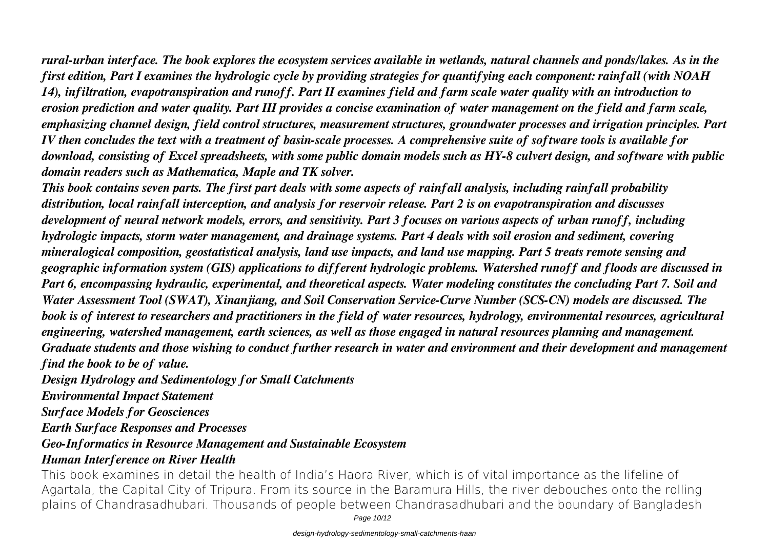*rural-urban interface. The book explores the ecosystem services available in wetlands, natural channels and ponds/lakes. As in the first edition, Part I examines the hydrologic cycle by providing strategies for quantifying each component: rainfall (with NOAH 14), infiltration, evapotranspiration and runoff. Part II examines field and farm scale water quality with an introduction to erosion prediction and water quality. Part III provides a concise examination of water management on the field and farm scale, emphasizing channel design, field control structures, measurement structures, groundwater processes and irrigation principles. Part IV then concludes the text with a treatment of basin-scale processes. A comprehensive suite of software tools is available for download, consisting of Excel spreadsheets, with some public domain models such as HY-8 culvert design, and software with public domain readers such as Mathematica, Maple and TK solver.*

*This book contains seven parts. The first part deals with some aspects of rainfall analysis, including rainfall probability distribution, local rainfall interception, and analysis for reservoir release. Part 2 is on evapotranspiration and discusses development of neural network models, errors, and sensitivity. Part 3 focuses on various aspects of urban runoff, including hydrologic impacts, storm water management, and drainage systems. Part 4 deals with soil erosion and sediment, covering mineralogical composition, geostatistical analysis, land use impacts, and land use mapping. Part 5 treats remote sensing and geographic information system (GIS) applications to different hydrologic problems. Watershed runoff and floods are discussed in Part 6, encompassing hydraulic, experimental, and theoretical aspects. Water modeling constitutes the concluding Part 7. Soil and Water Assessment Tool (SWAT), Xinanjiang, and Soil Conservation Service-Curve Number (SCS-CN) models are discussed. The book is of interest to researchers and practitioners in the field of water resources, hydrology, environmental resources, agricultural engineering, watershed management, earth sciences, as well as those engaged in natural resources planning and management. Graduate students and those wishing to conduct further research in water and environment and their development and management find the book to be of value.*

*Design Hydrology and Sedimentology for Small Catchments*

*Environmental Impact Statement*

*Surface Models for Geosciences*

*Earth Surface Responses and Processes*

*Geo-Informatics in Resource Management and Sustainable Ecosystem*

## *Human Interference on River Health*

This book examines in detail the health of India's Haora River, which is of vital importance as the lifeline of Agartala, the Capital City of Tripura. From its source in the Baramura Hills, the river debouches onto the rolling plains of Chandrasadhubari. Thousands of people between Chandrasadhubari and the boundary of Bangladesh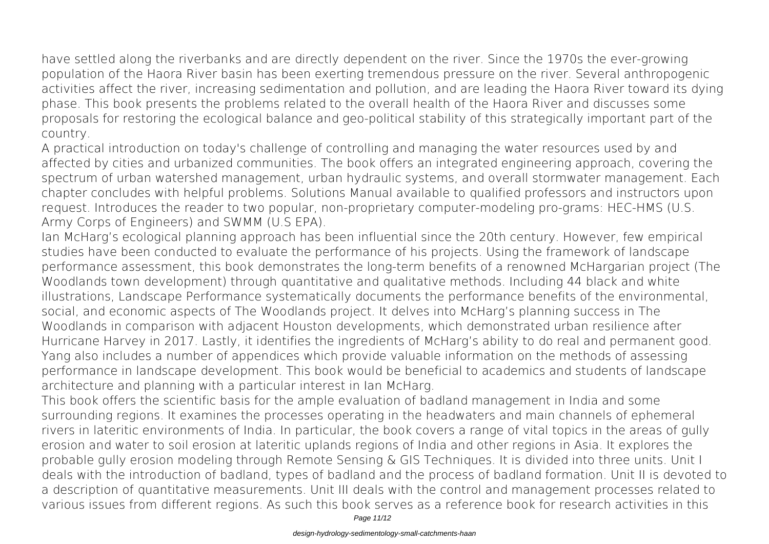have settled along the riverbanks and are directly dependent on the river. Since the 1970s the ever-growing population of the Haora River basin has been exerting tremendous pressure on the river. Several anthropogenic activities affect the river, increasing sedimentation and pollution, and are leading the Haora River toward its dying phase. This book presents the problems related to the overall health of the Haora River and discusses some proposals for restoring the ecological balance and geo-political stability of this strategically important part of the country.

A practical introduction on today's challenge of controlling and managing the water resources used by and affected by cities and urbanized communities. The book offers an integrated engineering approach, covering the spectrum of urban watershed management, urban hydraulic systems, and overall stormwater management. Each chapter concludes with helpful problems. Solutions Manual available to qualified professors and instructors upon request. Introduces the reader to two popular, non-proprietary computer-modeling pro-grams: HEC-HMS (U.S. Army Corps of Engineers) and SWMM (U.S EPA).

Ian McHarg's ecological planning approach has been influential since the 20th century. However, few empirical studies have been conducted to evaluate the performance of his projects. Using the framework of landscape performance assessment, this book demonstrates the long-term benefits of a renowned McHargarian project (The Woodlands town development) through quantitative and qualitative methods. Including 44 black and white illustrations, Landscape Performance systematically documents the performance benefits of the environmental, social, and economic aspects of The Woodlands project. It delves into McHarg's planning success in The Woodlands in comparison with adjacent Houston developments, which demonstrated urban resilience after Hurricane Harvey in 2017. Lastly, it identifies the ingredients of McHarg's ability to do real and permanent good. Yang also includes a number of appendices which provide valuable information on the methods of assessing performance in landscape development. This book would be beneficial to academics and students of landscape architecture and planning with a particular interest in Ian McHarg.

This book offers the scientific basis for the ample evaluation of badland management in India and some surrounding regions. It examines the processes operating in the headwaters and main channels of ephemeral rivers in lateritic environments of India. In particular, the book covers a range of vital topics in the areas of gully erosion and water to soil erosion at lateritic uplands regions of India and other regions in Asia. It explores the probable gully erosion modeling through Remote Sensing & GIS Techniques. It is divided into three units. Unit I deals with the introduction of badland, types of badland and the process of badland formation. Unit II is devoted to a description of quantitative measurements. Unit III deals with the control and management processes related to various issues from different regions. As such this book serves as a reference book for research activities in this